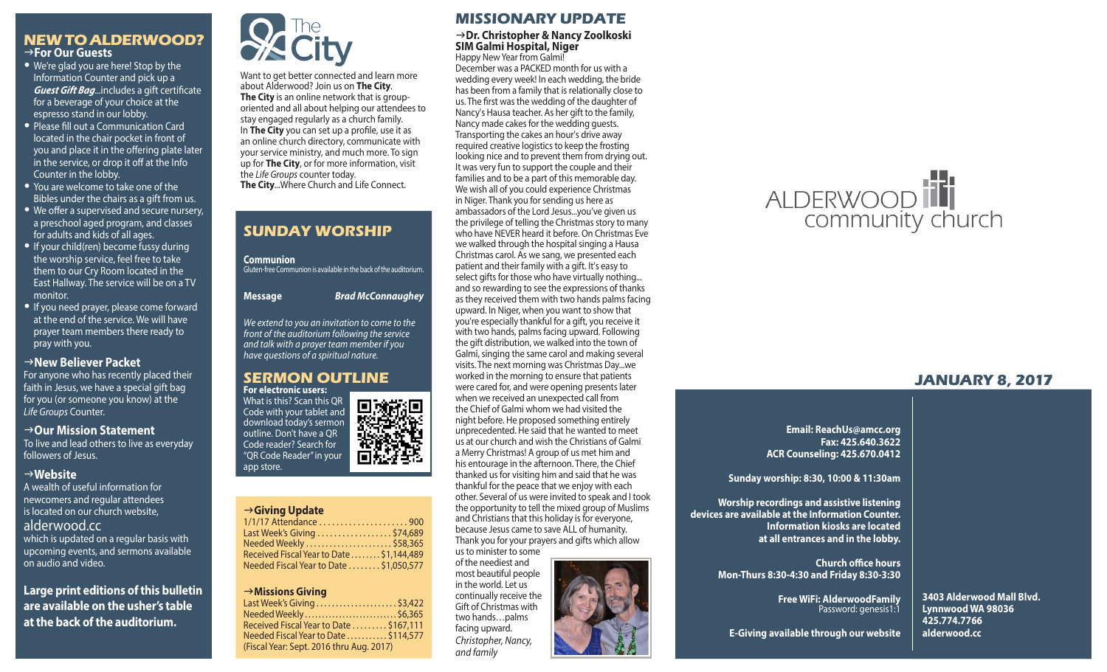# **NEW TO ALDERWOOD?** g**For Our Guests**

- We're glad you are here! Stop by the Information Counter and pick up a *Guest Gift Bag*...includes a gift certificate for a beverage of your choice at the espresso stand in our lobby.
- Please fill out a Communication Card located in the chair pocket in front of you and place it in the offering plate later in the service, or drop it off at the Info Counter in the lobby.
- You are welcome to take one of the Bibles under the chairs as a gift from us.
- We offer a supervised and secure nursery, a preschool aged program, and classes for adults and kids of all ages.
- If your child(ren) become fussy during the worship service, feel free to take them to our Cry Room located in the East Hallway. The service will be on a TV monitor.
- If you need prayer, please come forward at the end of the service. We will have prayer team members there ready to pray with you.

### **New Believer Packet**

For anyone who has recently placed their faith in Jesus, we have a special gift bag for you (or someone you know) at the *Life Groups* Counter.

#### → Our Mission Statement

To live and lead others to live as everyday followers of Jesus.

### g**Website**

A wealth of useful information for newcomers and regular attendees is located on our church website, alderwood.cc which is updated on a regular basis with upcoming events, and sermons available on audio and video.

**Large print editions of this bulletin are available on the usher's table at the back of the auditorium.**



Want to get better connected and learn more about Alderwood? Join us on **The City**. **The City** is an online network that is grouporiented and all about helping our attendees to stay engaged regularly as a church family. In **The City** you can set up a profile, use it as an online church directory, communicate with your service ministry, and much more. To sign up for **The City**, or for more information, visit the *Life Groups* counter today. **The City**...Where Church and Life Connect.

# **SUNDAY WORSHIP**

**Communion** Gluten-free Communion is available in the back of the auditorium.

**Message** *Brad McConnaughey*

*We extend to you an invitation to come to the front of the auditorium following the service and talk with a prayer team member if you have questions of a spiritual nature.*

#### **SERMON OUTLINE For electronic users:**

What is this? Scan this QR Code with your tablet and download today's sermon outline. Don't have a QR Code reader? Search for "QR Code Reader" in your app store.

#### g**Giving Update**

| Last Week's Giving \$74,689               |  |
|-------------------------------------------|--|
| Needed Weekly \$58,365                    |  |
| Received Fiscal Year to Date  \$1,144,489 |  |
| Needed Fiscal Year to Date \$1,050,577    |  |

#### g**Missions Giving**

| Last Week's Giving \$3,422               |  |
|------------------------------------------|--|
| Needed Weekly  \$6,365                   |  |
| Received Fiscal Year to Date  \$167.111  |  |
| Needed Fiscal Year to Date \$114,577     |  |
| (Fiscal Year: Sept. 2016 thru Aug. 2017) |  |
|                                          |  |
|                                          |  |

# **MISSIONARY UPDATE**

# <sup>g</sup>**Dr. Christopher & Nancy Zoolkoski SIM Galmi Hospital, Niger**

Happy New Year from Galmi! December was a PACKED month for us with a wedding every week! In each wedding, the bride has been from a family that is relationally close to us. The first was the wedding of the daughter of Nancy's Hausa teacher. As her gift to the family, Nancy made cakes for the wedding guests. Transporting the cakes an hour's drive away required creative logistics to keep the frosting looking nice and to prevent them from drying out. It was very fun to support the couple and their families and to be a part of this memorable day. We wish all of you could experience Christmas in Niger. Thank you for sending us here as ambassadors of the Lord Jesus...you've given us the privilege of telling the Christmas story to many who have NEVER heard it before. On Christmas Eve we walked through the hospital singing a Hausa Christmas carol. As we sang, we presented each patient and their family with a gift. It's easy to select gifts for those who have virtually nothing... and so rewarding to see the expressions of thanks as they received them with two hands palms facing upward. In Niger, when you want to show that you're especially thankful for a gift, you receive it with two hands, palms facing upward. Following the gift distribution, we walked into the town of Galmi, singing the same carol and making several visits. The next morning was Christmas Day...we worked in the morning to ensure that patients were cared for, and were opening presents later when we received an unexpected call from the Chief of Galmi whom we had visited the night before. He proposed something entirely unprecedented. He said that he wanted to meet us at our church and wish the Christians of Galmi a Merry Christmas! A group of us met him and his entourage in the afternoon. There, the Chief thanked us for visiting him and said that he was thankful for the peace that we enjoy with each other. Several of us were invited to speak and I took the opportunity to tell the mixed group of Muslims and Christians that this holiday is for everyone, because Jesus came to save ALL of humanity. Thank you for your prayers and gifts which allow

us to minister to some of the neediest and most beautiful people in the world. Let us continually receive the Gift of Christmas with two hands…palms facing upward. *Christopher, Nancy, and family*





# **JANUARY 8, 2017**

**Email: ReachUs@amcc.org Fax: 425.640.3622 ACR Counseling: 425.670.0412**

**Sunday worship: 8:30, 10:00 & 11:30am**

**Worship recordings and assistive listening devices are available at the Information Counter. Information kiosks are located at all entrances and in the lobby.**

> **Church office hours Mon-Thurs 8:30-4:30 and Friday 8:30-3:30**

> > **Free WiFi: AlderwoodFamily**  Password: genesis1:1

**3403 Alderwood Mall Blvd. Lynnwood WA 98036 425.774.7766 alderwood.cc** 

**E-Giving available through our website**



回游<mark>吧</mark><br>黎秀说 .<br>∵é